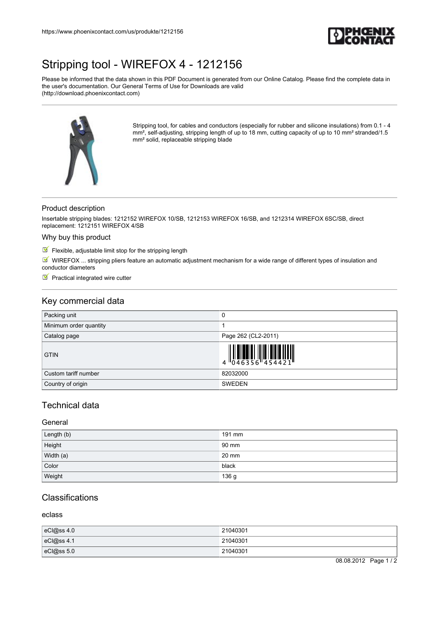

# [Stripping tool - WIREFOX 4 - 1212156](https://www.phoenixcontact.com/us/produkte/1212156)

Please be informed that the data shown in this PDF Document is generated from our Online Catalog. Please find the complete data in the user's documentation. Our General Terms of Use for Downloads are valid (http://download.phoenixcontact.com)



Stripping tool, for cables and conductors (especially for rubber and silicone insulations) from 0.1 - 4 mm<sup>2</sup>, self-adjusting, stripping length of up to 18 mm, cutting capacity of up to 10 mm<sup>2</sup> stranded/1.5 mm² solid, replaceable stripping blade

#### Product description

Insertable stripping blades: 1212152 WIREFOX 10/SB, 1212153 WIREFOX 16/SB, and 1212314 WIREFOX 6SC/SB, direct replacement: 1212151 WIREFOX 4/SB

## Why buy this product

 $\blacksquare$  Flexible, adjustable limit stop for the stripping length

 $M$  WIREFOX ... stripping pliers feature an automatic adjustment mechanism for a wide range of different types of insulation and conductor diameters

 $\blacksquare$  Practical integrated wire cutter

## Key commercial data

| Packing unit           | 0                                                                                                                                                                                                                                                                                                                                                                                                                                                                                                                                                               |
|------------------------|-----------------------------------------------------------------------------------------------------------------------------------------------------------------------------------------------------------------------------------------------------------------------------------------------------------------------------------------------------------------------------------------------------------------------------------------------------------------------------------------------------------------------------------------------------------------|
| Minimum order quantity |                                                                                                                                                                                                                                                                                                                                                                                                                                                                                                                                                                 |
| Catalog page           | Page 262 (CL2-2011)                                                                                                                                                                                                                                                                                                                                                                                                                                                                                                                                             |
| <b>GTIN</b>            | $\begin{array}{c} \begin{array}{c} \begin{array}{c} \end{array} \\ \begin{array}{c} \end{array} \\ \begin{array}{c} \end{array} \\ \begin{array}{c} \end{array} \\ \begin{array}{c} \end{array} \\ \begin{array}{c} \end{array} \\ \begin{array}{c} \end{array} \\ \begin{array}{c} \end{array} \\ \begin{array}{c} \end{array} \\ \begin{array}{c} \end{array} \\ \begin{array}{c} \end{array} \\ \begin{array}{c} \end{array} \\ \begin{array}{c} \end{array} \\ \begin{array}{c} \end{array} \\ \begin{array}{c} \end{array} \\ \begin{array}{c} \end{array$ |
| Custom tariff number   | 82032000                                                                                                                                                                                                                                                                                                                                                                                                                                                                                                                                                        |
| Country of origin      | <b>SWEDEN</b>                                                                                                                                                                                                                                                                                                                                                                                                                                                                                                                                                   |

## Technical data

#### General

| Length (b) | 191 mm |
|------------|--------|
| Height     | 90 mm  |
| Width (a)  | 20 mm  |
| Color      | black  |
| Weight     | 136 g  |

## Classifications

eclass

| eCl@ss 4.0     | 21040301 |
|----------------|----------|
| eCl@ss 4.1     | 21040301 |
| $ eC $ @ss 5.0 | 21040301 |